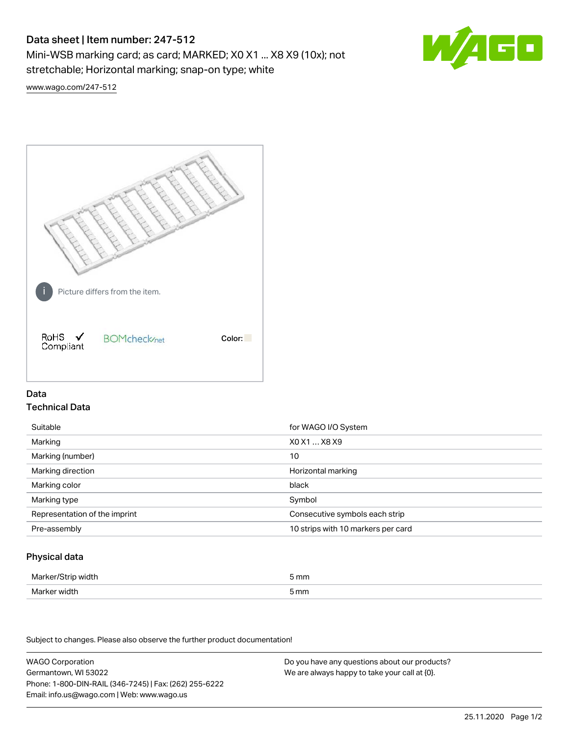# Data sheet | Item number: 247-512

Mini-WSB marking card; as card; MARKED; X0 X1 ... X8 X9 (10x); not stretchable; Horizontal marking; snap-on type; white



[www.wago.com/247-512](http://www.wago.com/247-512)



## Data Technical Data

| Suitable                      | for WAGO I/O System                |
|-------------------------------|------------------------------------|
| Marking                       | XO X1  X8 X9                       |
| Marking (number)              | 10                                 |
| Marking direction             | Horizontal marking                 |
| Marking color                 | black                              |
| Marking type                  | Symbol                             |
| Representation of the imprint | Consecutive symbols each strip     |
| Pre-assembly                  | 10 strips with 10 markers per card |

## Physical data

| Marker/Strin w<br><i>i</i> idth           | 5 mm                |
|-------------------------------------------|---------------------|
| width<br>Marker w<br>$\sim$ $\sim$ $\sim$ | mm<br><u>JIIIII</u> |

Subject to changes. Please also observe the further product documentation!

WAGO Corporation Germantown, WI 53022 Phone: 1-800-DIN-RAIL (346-7245) | Fax: (262) 255-6222 Email: info.us@wago.com | Web: www.wago.us

Do you have any questions about our products? We are always happy to take your call at {0}.